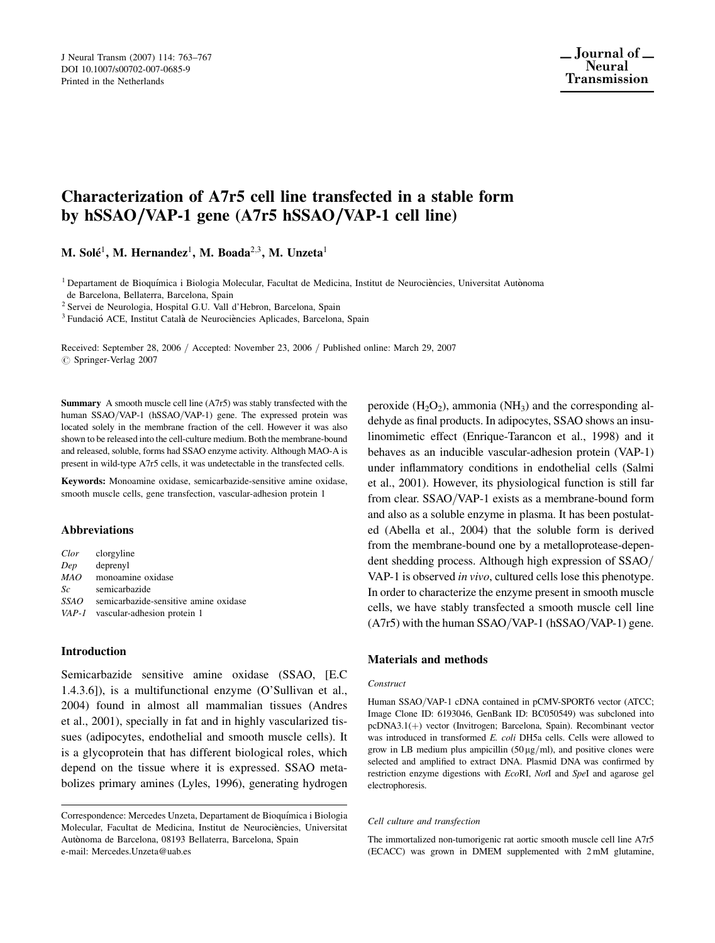# Characterization of A7r5 cell line transfected in a stable form by hSSAO/VAP-1 gene  $(A7r5$  hSSAO/VAP-1 cell line)

M. Solé<sup>1</sup>, M. Hernandez<sup>1</sup>, M. Boada<sup>2,3</sup>, M. Unzeta<sup>1</sup>

<sup>1</sup> Departament de Bioquímica i Biologia Molecular, Facultat de Medicina, Institut de Neurociències, Universitat Autònoma de Barcelona, Bellaterra, Barcelona, Spain

<sup>2</sup> Servei de Neurologia, Hospital G.U. Vall d'Hebron, Barcelona, Spain

<sup>3</sup> Fundació ACE, Institut Català de Neurociències Aplicades, Barcelona, Spain

Received: September 28, 2006 / Accepted: November 23, 2006 / Published online: March 29, 2007  $\oslash$  Springer-Verlag 2007

Summary A smooth muscle cell line (A7r5) was stably transfected with the human SSAO/VAP-1 (hSSAO/VAP-1) gene. The expressed protein was located solely in the membrane fraction of the cell. However it was also shown to be released into the cell-culture medium. Both the membrane-bound and released, soluble, forms had SSAO enzyme activity. Although MAO-A is present in wild-type A7r5 cells, it was undetectable in the transfected cells.

Keywords: Monoamine oxidase, semicarbazide-sensitive amine oxidase, smooth muscle cells, gene transfection, vascular-adhesion protein 1

### Abbreviations

| Clor | clorgyline                            |
|------|---------------------------------------|
| Dep  | deprenyl                              |
| MAO  | monoamine oxidase                     |
| Sc   | semicarbazide                         |
| SSAO | semicarbazide-sensitive amine oxidase |
|      | VAP-1 vascular-adhesion protein 1     |

### Introduction

Semicarbazide sensitive amine oxidase (SSAO, [E.C 1.4.3.6]), is a multifunctional enzyme (O'Sullivan et al., 2004) found in almost all mammalian tissues (Andres et al., 2001), specially in fat and in highly vascularized tissues (adipocytes, endothelial and smooth muscle cells). It is a glycoprotein that has different biological roles, which depend on the tissue where it is expressed. SSAO metabolizes primary amines (Lyles, 1996), generating hydrogen peroxide  $(H_2O_2)$ , ammonia  $(NH_3)$  and the corresponding aldehyde as final products. In adipocytes, SSAO shows an insulinomimetic effect (Enrique-Tarancon et al., 1998) and it behaves as an inducible vascular-adhesion protein (VAP-1) under inflammatory conditions in endothelial cells (Salmi et al., 2001). However, its physiological function is still far from clear. SSAO/VAP-1 exists as a membrane-bound form and also as a soluble enzyme in plasma. It has been postulated (Abella et al., 2004) that the soluble form is derived from the membrane-bound one by a metalloprotease-dependent shedding process. Although high expression of SSAO/ VAP-1 is observed in vivo, cultured cells lose this phenotype. In order to characterize the enzyme present in smooth muscle cells, we have stably transfected a smooth muscle cell line  $(A7r5)$  with the human SSAO/VAP-1 (hSSAO/VAP-1) gene.

### Materials and methods

#### **Construct**

Human SSAO/VAP-1 cDNA contained in pCMV-SPORT6 vector (ATCC; Image Clone ID: 6193046, GenBank ID: BC050549) was subcloned into pcDNA3.1(+) vector (Invitrogen; Barcelona, Spain). Recombinant vector was introduced in transformed E. coli DH5a cells. Cells were allowed to grow in LB medium plus ampicillin  $(50 \,\mu\text{g/ml})$ , and positive clones were selected and amplified to extract DNA. Plasmid DNA was confirmed by restriction enzyme digestions with EcoRI, NotI and SpeI and agarose gel electrophoresis.

#### Cell culture and transfection

The immortalized non-tumorigenic rat aortic smooth muscle cell line A7r5 (ECACC) was grown in DMEM supplemented with 2 mM glutamine,

Correspondence: Mercedes Unzeta, Departament de Bioquímica i Biologia Molecular, Facultat de Medicina, Institut de Neurociències, Universitat Autònoma de Barcelona, 08193 Bellaterra, Barcelona, Spain e-mail: Mercedes.Unzeta@uab.es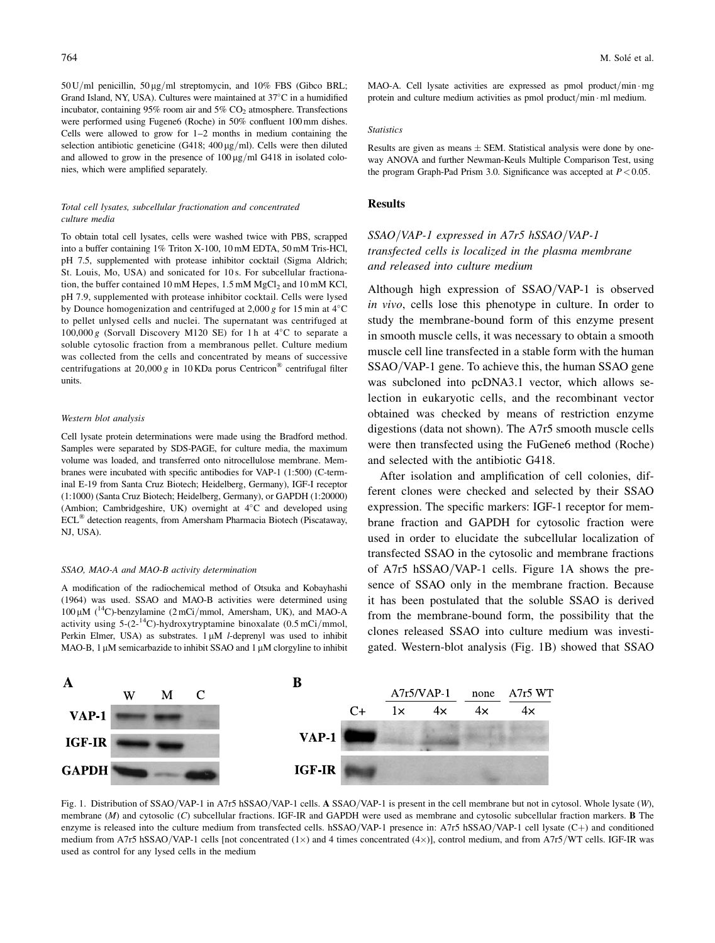$50$  U/ml penicillin,  $50 \text{ kg/ml}$  streptomycin, and  $10\%$  FBS (Gibco BRL; Grand Island, NY, USA). Cultures were maintained at 37°C in a humidified incubator, containing 95% room air and 5%  $CO<sub>2</sub>$  atmosphere. Transfections were performed using Fugene6 (Roche) in 50% confluent 100 mm dishes. Cells were allowed to grow for 1–2 months in medium containing the selection antibiotic geneticine (G418;  $400 \mu g/ml$ ). Cells were then diluted and allowed to grow in the presence of  $100 \mu g/ml$  G418 in isolated colonies, which were amplified separately.

### Total cell lysates, subcellular fractionation and concentrated culture media

To obtain total cell lysates, cells were washed twice with PBS, scrapped into a buffer containing 1% Triton X-100, 10 mM EDTA, 50 mM Tris-HCl, pH 7.5, supplemented with protease inhibitor cocktail (Sigma Aldrich; St. Louis, Mo, USA) and sonicated for 10 s. For subcellular fractionation, the buffer contained 10 mM Hepes,  $1.5$  mM  $MgCl<sub>2</sub>$  and 10 mM KCl, pH 7.9, supplemented with protease inhibitor cocktail. Cells were lysed by Dounce homogenization and centrifuged at 2,000 g for 15 min at  $4^{\circ}$ C to pellet unlysed cells and nuclei. The supernatant was centrifuged at 100,000 g (Sorvall Discovery M120 SE) for 1 h at  $4^{\circ}$ C to separate a soluble cytosolic fraction from a membranous pellet. Culture medium was collected from the cells and concentrated by means of successive centrifugations at 20,000 g in 10 KDa porus Centricon® centrifugal filter units.

### Western blot analysis

Cell lysate protein determinations were made using the Bradford method. Samples were separated by SDS-PAGE, for culture media, the maximum volume was loaded, and transferred onto nitrocellulose membrane. Membranes were incubated with specific antibodies for VAP-1 (1:500) (C-terminal E-19 from Santa Cruz Biotech; Heidelberg, Germany), IGF-I receptor (1:1000) (Santa Cruz Biotech; Heidelberg, Germany), or GAPDH (1:20000) (Ambion; Cambridgeshire, UK) overnight at  $4^{\circ}$ C and developed using ECL<sup>®</sup> detection reagents, from Amersham Pharmacia Biotech (Piscataway, NJ, USA).

### SSAO, MAO-A and MAO-B activity determination

A modification of the radiochemical method of Otsuka and Kobayhashi (1964) was used. SSAO and MAO-B activities were determined using  $100 \mu M$  (<sup>14</sup>C)-benzylamine (2 mCi/mmol, Amersham, UK), and MAO-A activity using  $5-(2^{-14}C)$ -hydroxytryptamine binoxalate (0.5 mCi/mmol, Perkin Elmer, USA) as substrates.  $1 \mu M$  *l*-deprenyl was used to inhibit MAO-B, 1  $\mu$ M semicarbazide to inhibit SSAO and 1  $\mu$ M clorgyline to inhibit MAO-A. Cell lysate activities are expressed as pmol product/min - mg protein and culture medium activities as pmol product/min  $\cdot$  ml medium.

#### **Statistics**

Results are given as means  $\pm$  SEM. Statistical analysis were done by oneway ANOVA and further Newman-Keuls Multiple Comparison Test, using the program Graph-Pad Prism 3.0. Significance was accepted at  $P < 0.05$ .

### Results

## $SSAO/VAP-1$  expressed in A7r5 hSSAO/VAP-1 transfected cells is localized in the plasma membrane and released into culture medium

Although high expression of SSAO/VAP-1 is observed in vivo, cells lose this phenotype in culture. In order to study the membrane-bound form of this enzyme present in smooth muscle cells, it was necessary to obtain a smooth muscle cell line transfected in a stable form with the human SSAO/VAP-1 gene. To achieve this, the human SSAO gene. was subcloned into pcDNA3.1 vector, which allows selection in eukaryotic cells, and the recombinant vector obtained was checked by means of restriction enzyme digestions (data not shown). The A7r5 smooth muscle cells were then transfected using the FuGene6 method (Roche) and selected with the antibiotic G418.

After isolation and amplification of cell colonies, different clones were checked and selected by their SSAO expression. The specific markers: IGF-1 receptor for membrane fraction and GAPDH for cytosolic fraction were used in order to elucidate the subcellular localization of transfected SSAO in the cytosolic and membrane fractions of  $A7r5$  hSSAO/VAP-1 cells. Figure 1A shows the presence of SSAO only in the membrane fraction. Because it has been postulated that the soluble SSAO is derived from the membrane-bound form, the possibility that the clones released SSAO into culture medium was investigated. Western-blot analysis (Fig. 1B) showed that SSAO



Fig. 1. Distribution of SSAO/VAP-1 in A7r5 hSSAO/VAP-1 cells. A SSAO/VAP-1 is present in the cell membrane but not in cytosol. Whole lysate (W), membrane (M) and cytosolic (C) subcellular fractions. IGF-IR and GAPDH were used as membrane and cytosolic subcellular fraction markers. **B** The enzyme is released into the culture medium from transfected cells. hSSAO/VAP-1 presence in: A7r5 hSSAO/VAP-1 cell lysate  $(C+)$  and conditioned medium from A7r5 hSSAO/VAP-1 cells [not concentrated (1 $\times$ ) and 4 times concentrated (4 $\times$ )], control medium, and from A7r5/WT cells. IGF-IR was used as control for any lysed cells in the medium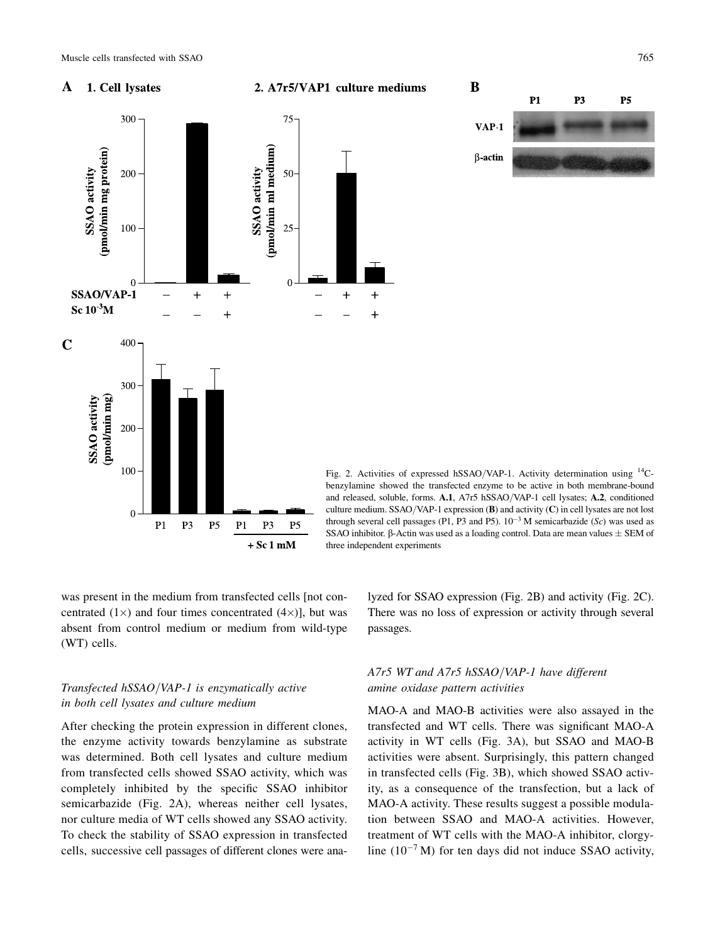#### $\mathbf A$ 1. Cell lysates





P<sub>3</sub>  $P1$ **P5**  $VAP-1$  $\beta$ -actin

Fig. 2. Activities of expressed hSSAO/VAP-1. Activity determination using  $^{14}$ Cbenzylamine showed the transfected enzyme to be active in both membrane-bound and released, soluble, forms. A.1, A7r5 hSSAO/VAP-1 cell lysates; A.2, conditioned culture medium. SSAO/VAP-1 expression  $(B)$  and activity  $(C)$  in cell lysates are not lost through several cell passages (P1, P3 and P5).  $10^{-3}$  M semicarbazide (Sc) was used as SSAO inhibitor.  $\beta$ -Actin was used as a loading control. Data are mean values  $\pm$  SEM of three independent experiments

B

was present in the medium from transfected cells [not concentrated  $(1\times)$  and four times concentrated  $(4\times)$ ], but was absent from control medium or medium from wild-type (WT) cells.

### Transfected  $hSSAO/VAP-1$  is enzymatically active in both cell lysates and culture medium

After checking the protein expression in different clones, the enzyme activity towards benzylamine as substrate was determined. Both cell lysates and culture medium from transfected cells showed SSAO activity, which was completely inhibited by the specific SSAO inhibitor semicarbazide (Fig. 2A), whereas neither cell lysates, nor culture media of WT cells showed any SSAO activity. To check the stability of SSAO expression in transfected cells, successive cell passages of different clones were analyzed for SSAO expression (Fig. 2B) and activity (Fig. 2C). There was no loss of expression or activity through several passages.

### A7r5 WT and A7r5 hSSAO/VAP-1 have different amine oxidase pattern activities

MAO-A and MAO-B activities were also assayed in the transfected and WT cells. There was significant MAO-A activity in WT cells (Fig. 3A), but SSAO and MAO-B activities were absent. Surprisingly, this pattern changed in transfected cells (Fig. 3B), which showed SSAO activity, as a consequence of the transfection, but a lack of MAO-A activity. These results suggest a possible modulation between SSAO and MAO-A activities. However, treatment of WT cells with the MAO-A inhibitor, clorgyline  $(10^{-7} M)$  for ten days did not induce SSAO activity,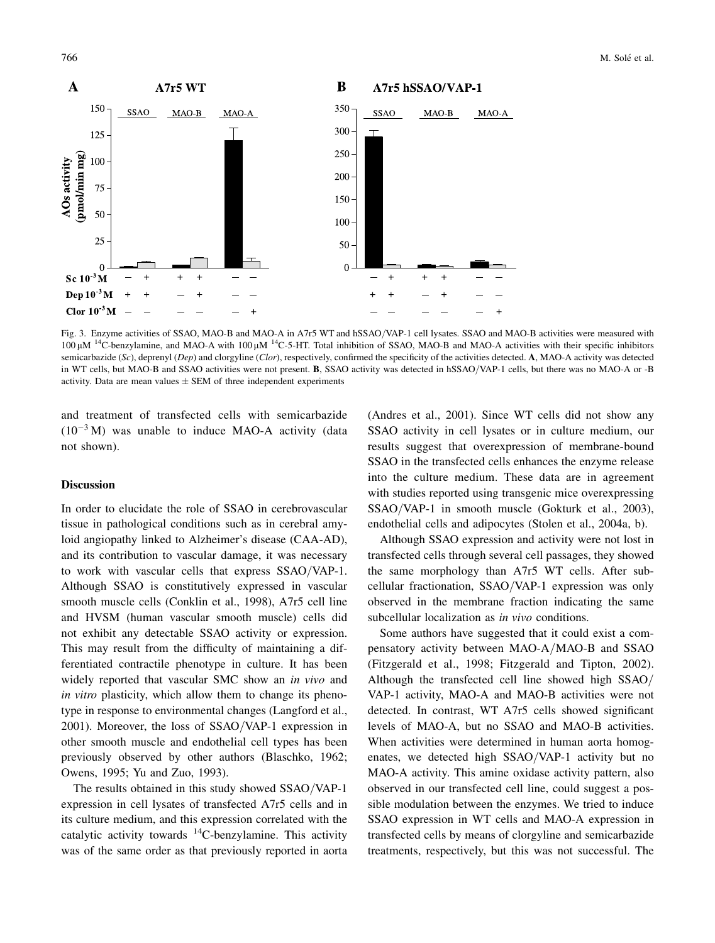

Fig. 3. Enzyme activities of SSAO, MAO-B and MAO-A in A7r5 WT and hSSAO/VAP-1 cell lysates. SSAO and MAO-B activities were measured with  $100 \mu$ M <sup>14</sup>C-benzylamine, and MAO-A with  $100 \mu$ M <sup>14</sup>C-5-HT. Total inhibition of SSAO, MAO-B and MAO-A activities with their specific inhibitors semicarbazide (Sc), deprenyl (Dep) and clorgyline (Clor), respectively, confirmed the specificity of the activities detected. A, MAO-A activity was detected in WT cells, but MAO-B and SSAO activities were not present. B, SSAO activity was detected in hSSAO/VAP-1 cells, but there was no MAO-A or -B activity. Data are mean values  $\pm$  SEM of three independent experiments

and treatment of transfected cells with semicarbazide  $(10^{-3} M)$  was unable to induce MAO-A activity (data not shown).

### **Discussion**

In order to elucidate the role of SSAO in cerebrovascular tissue in pathological conditions such as in cerebral amyloid angiopathy linked to Alzheimer's disease (CAA-AD), and its contribution to vascular damage, it was necessary to work with vascular cells that express  $SSAO/VAP-1$ . Although SSAO is constitutively expressed in vascular smooth muscle cells (Conklin et al., 1998), A7r5 cell line and HVSM (human vascular smooth muscle) cells did not exhibit any detectable SSAO activity or expression. This may result from the difficulty of maintaining a differentiated contractile phenotype in culture. It has been widely reported that vascular SMC show an in vivo and in vitro plasticity, which allow them to change its phenotype in response to environmental changes (Langford et al., 2001). Moreover, the loss of  $SSAO/VAP-1$  expression in other smooth muscle and endothelial cell types has been previously observed by other authors (Blaschko, 1962; Owens, 1995; Yu and Zuo, 1993).

The results obtained in this study showed SSAO/VAP-1 expression in cell lysates of transfected A7r5 cells and in its culture medium, and this expression correlated with the catalytic activity towards  $^{14}$ C-benzylamine. This activity was of the same order as that previously reported in aorta

(Andres et al., 2001). Since WT cells did not show any SSAO activity in cell lysates or in culture medium, our results suggest that overexpression of membrane-bound SSAO in the transfected cells enhances the enzyme release into the culture medium. These data are in agreement with studies reported using transgenic mice overexpressing SSAO/VAP-1 in smooth muscle (Gokturk et al., 2003), endothelial cells and adipocytes (Stolen et al., 2004a, b).

Although SSAO expression and activity were not lost in transfected cells through several cell passages, they showed the same morphology than A7r5 WT cells. After subcellular fractionation,  $SSAO/VAP-1$  expression was only observed in the membrane fraction indicating the same subcellular localization as *in vivo* conditions.

Some authors have suggested that it could exist a compensatory activity between MAO-A/MAO-B and SSAO (Fitzgerald et al., 1998; Fitzgerald and Tipton, 2002). Although the transfected cell line showed high SSAO/ VAP-1 activity, MAO-A and MAO-B activities were not detected. In contrast, WT A7r5 cells showed significant levels of MAO-A, but no SSAO and MAO-B activities. When activities were determined in human aorta homogenates, we detected high SSAO/VAP-1 activity but no MAO-A activity. This amine oxidase activity pattern, also observed in our transfected cell line, could suggest a possible modulation between the enzymes. We tried to induce SSAO expression in WT cells and MAO-A expression in transfected cells by means of clorgyline and semicarbazide treatments, respectively, but this was not successful. The